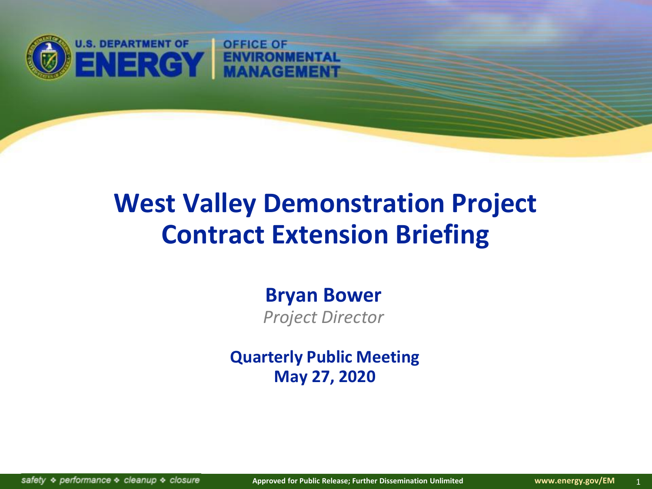

## **West Valley Demonstration Project Contract Extension Briefing**

**Bryan Bower** *Project Director*

**Quarterly Public Meeting May 27, 2020**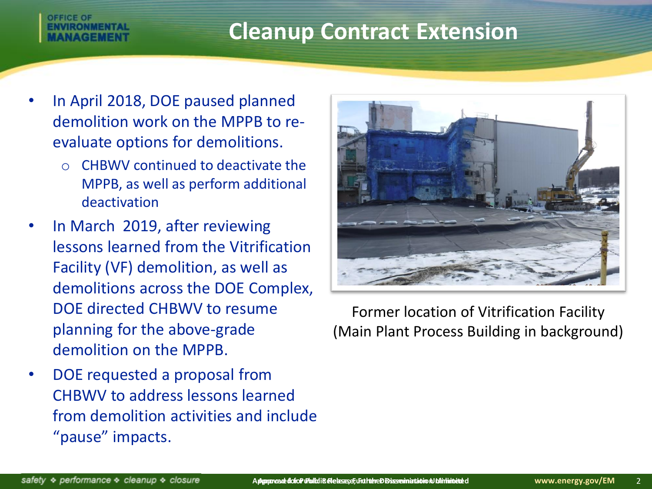#### **Cleanup Contract Extension**

- In April 2018, DOE paused planned demolition work on the MPPB to reevaluate options for demolitions.
	- o CHBWV continued to deactivate the MPPB, as well as perform additional deactivation
- In March 2019, after reviewing lessons learned from the Vitrification Facility (VF) demolition, as well as demolitions across the DOE Complex, DOE directed CHBWV to resume planning for the above-grade demolition on the MPPB.
- DOE requested a proposal from CHBWV to address lessons learned from demolition activities and include "pause" impacts.



Former location of Vitrification Facility (Main Plant Process Building in background)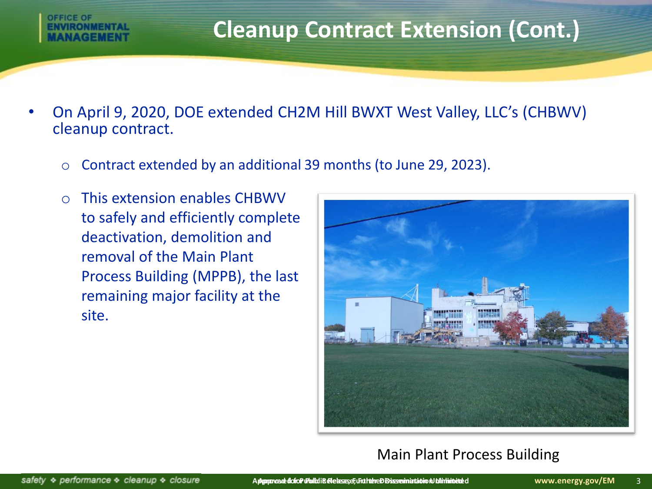#### **Cleanup Contract Extension (Cont.)**

- On April 9, 2020, DOE extended CH2M Hill BWXT West Valley, LLC's (CHBWV) cleanup contract.
	- o Contract extended by an additional 39 months (to June 29, 2023).
	- o This extension enables CHBWV to safely and efficiently complete deactivation, demolition and removal of the Main Plant Process Building (MPPB), the last remaining major facility at the site.



#### Main Plant Process Building

**DEFICE OF**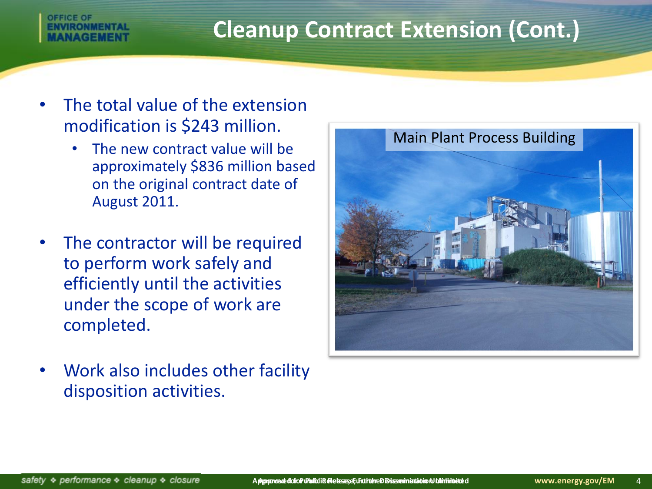### **Cleanup Contract Extension (Cont.)**

- The total value of the extension modification is \$243 million.
	- The new contract value will be approximately \$836 million based on the original contract date of August 2011.
- The contractor will be required to perform work safely and efficiently until the activities under the scope of work are completed.
- Work also includes other facility disposition activities.

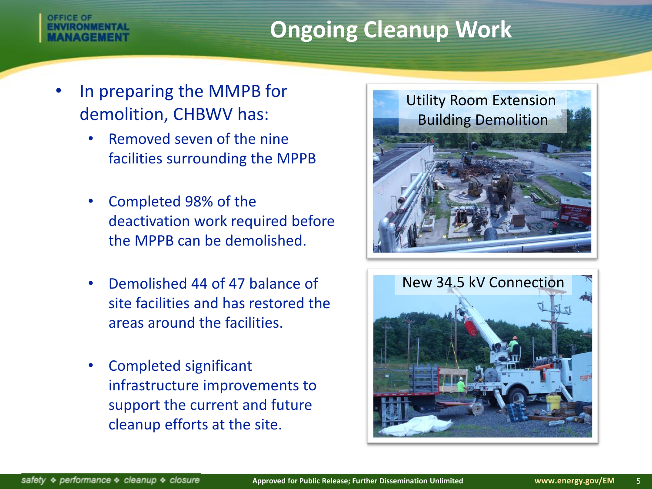### **Ongoing Cleanup Work**

### In preparing the MMPB for demolition, CHBWV has:

**FFICE OF** 

- Removed seven of the nine facilities surrounding the MPPB
- Completed 98% of the deactivation work required before the MPPB can be demolished.
- Demolished 44 of 47 balance of site facilities and has restored the areas around the facilities.
- Completed significant infrastructure improvements to support the current and future cleanup efforts at the site.



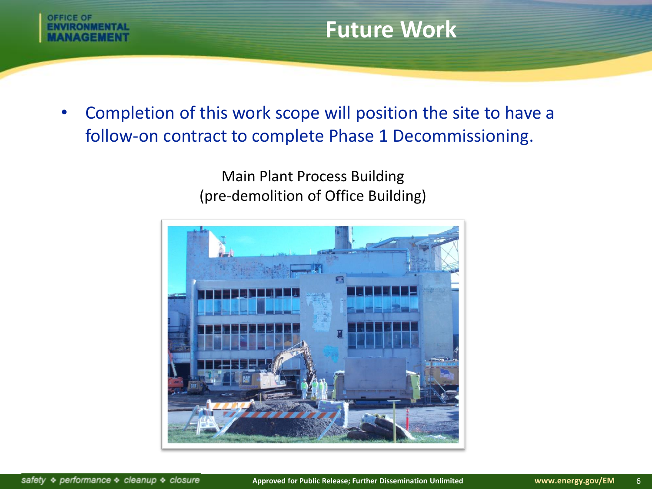

• Completion of this work scope will position the site to have a follow-on contract to complete Phase 1 Decommissioning.

> Main Plant Process Building (pre-demolition of Office Building)